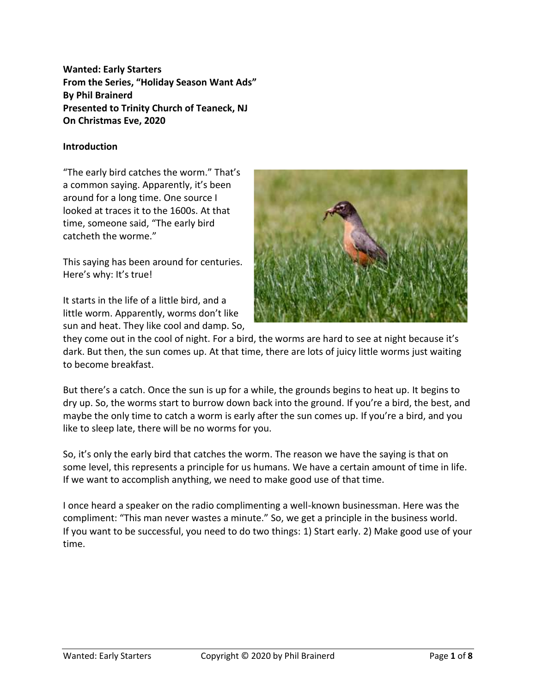**Wanted: Early Starters From the Series, "Holiday Season Want Ads" By Phil Brainerd Presented to Trinity Church of Teaneck, NJ On Christmas Eve, 2020**

# **Introduction**

"The early bird catches the worm." That's a common saying. Apparently, it's been around for a long time. One source I looked at traces it to the 1600s. At that time, someone said, "The early bird catcheth the worme."

This saying has been around for centuries. Here's why: It's true!

It starts in the life of a little bird, and a little worm. Apparently, worms don't like sun and heat. They like cool and damp. So,



they come out in the cool of night. For a bird, the worms are hard to see at night because it's dark. But then, the sun comes up. At that time, there are lots of juicy little worms just waiting to become breakfast.

But there's a catch. Once the sun is up for a while, the grounds begins to heat up. It begins to dry up. So, the worms start to burrow down back into the ground. If you're a bird, the best, and maybe the only time to catch a worm is early after the sun comes up. If you're a bird, and you like to sleep late, there will be no worms for you.

So, it's only the early bird that catches the worm. The reason we have the saying is that on some level, this represents a principle for us humans. We have a certain amount of time in life. If we want to accomplish anything, we need to make good use of that time.

I once heard a speaker on the radio complimenting a well-known businessman. Here was the compliment: "This man never wastes a minute." So, we get a principle in the business world. If you want to be successful, you need to do two things: 1) Start early. 2) Make good use of your time.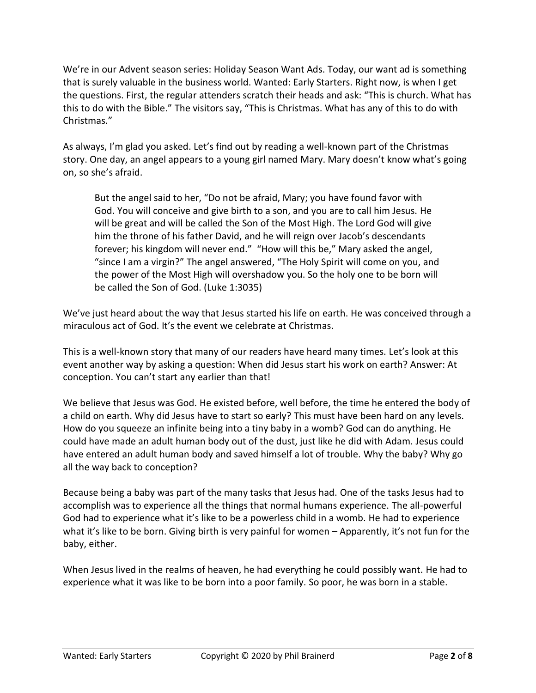We're in our Advent season series: Holiday Season Want Ads. Today, our want ad is something that is surely valuable in the business world. Wanted: Early Starters. Right now, is when I get the questions. First, the regular attenders scratch their heads and ask: "This is church. What has this to do with the Bible." The visitors say, "This is Christmas. What has any of this to do with Christmas."

As always, I'm glad you asked. Let's find out by reading a well-known part of the Christmas story. One day, an angel appears to a young girl named Mary. Mary doesn't know what's going on, so she's afraid.

But the angel said to her, "Do not be afraid, Mary; you have found favor with God. You will conceive and give birth to a son, and you are to call him Jesus. He will be great and will be called the Son of the Most High. The Lord God will give him the throne of his father David, and he will reign over Jacob's descendants forever; his kingdom will never end." "How will this be," Mary asked the angel, "since I am a virgin?" The angel answered, "The Holy Spirit will come on you, and the power of the Most High will overshadow you. So the holy one to be born will be called the Son of God. (Luke 1:3035)

We've just heard about the way that Jesus started his life on earth. He was conceived through a miraculous act of God. It's the event we celebrate at Christmas.

This is a well-known story that many of our readers have heard many times. Let's look at this event another way by asking a question: When did Jesus start his work on earth? Answer: At conception. You can't start any earlier than that!

We believe that Jesus was God. He existed before, well before, the time he entered the body of a child on earth. Why did Jesus have to start so early? This must have been hard on any levels. How do you squeeze an infinite being into a tiny baby in a womb? God can do anything. He could have made an adult human body out of the dust, just like he did with Adam. Jesus could have entered an adult human body and saved himself a lot of trouble. Why the baby? Why go all the way back to conception?

Because being a baby was part of the many tasks that Jesus had. One of the tasks Jesus had to accomplish was to experience all the things that normal humans experience. The all-powerful God had to experience what it's like to be a powerless child in a womb. He had to experience what it's like to be born. Giving birth is very painful for women – Apparently, it's not fun for the baby, either.

When Jesus lived in the realms of heaven, he had everything he could possibly want. He had to experience what it was like to be born into a poor family. So poor, he was born in a stable.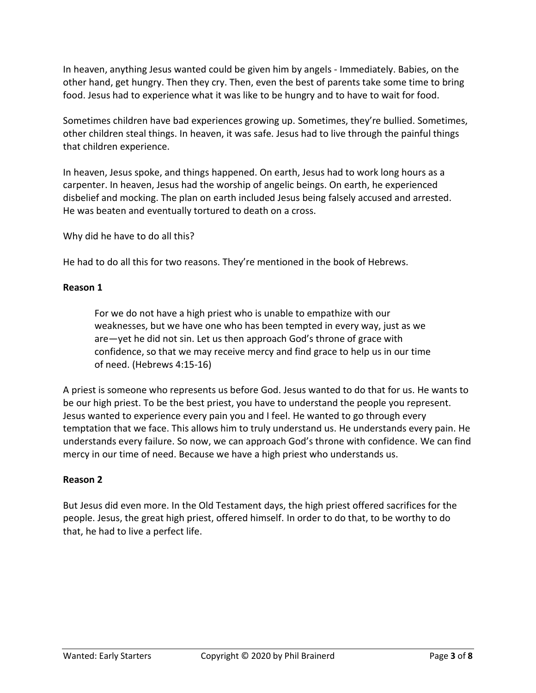In heaven, anything Jesus wanted could be given him by angels - Immediately. Babies, on the other hand, get hungry. Then they cry. Then, even the best of parents take some time to bring food. Jesus had to experience what it was like to be hungry and to have to wait for food.

Sometimes children have bad experiences growing up. Sometimes, they're bullied. Sometimes, other children steal things. In heaven, it was safe. Jesus had to live through the painful things that children experience.

In heaven, Jesus spoke, and things happened. On earth, Jesus had to work long hours as a carpenter. In heaven, Jesus had the worship of angelic beings. On earth, he experienced disbelief and mocking. The plan on earth included Jesus being falsely accused and arrested. He was beaten and eventually tortured to death on a cross.

Why did he have to do all this?

He had to do all this for two reasons. They're mentioned in the book of Hebrews.

### **Reason 1**

For we do not have a high priest who is unable to empathize with our weaknesses, but we have one who has been tempted in every way, just as we are—yet he did not sin. Let us then approach God's throne of grace with confidence, so that we may receive mercy and find grace to help us in our time of need. (Hebrews 4:15-16)

A priest is someone who represents us before God. Jesus wanted to do that for us. He wants to be our high priest. To be the best priest, you have to understand the people you represent. Jesus wanted to experience every pain you and I feel. He wanted to go through every temptation that we face. This allows him to truly understand us. He understands every pain. He understands every failure. So now, we can approach God's throne with confidence. We can find mercy in our time of need. Because we have a high priest who understands us.

### **Reason 2**

But Jesus did even more. In the Old Testament days, the high priest offered sacrifices for the people. Jesus, the great high priest, offered himself. In order to do that, to be worthy to do that, he had to live a perfect life.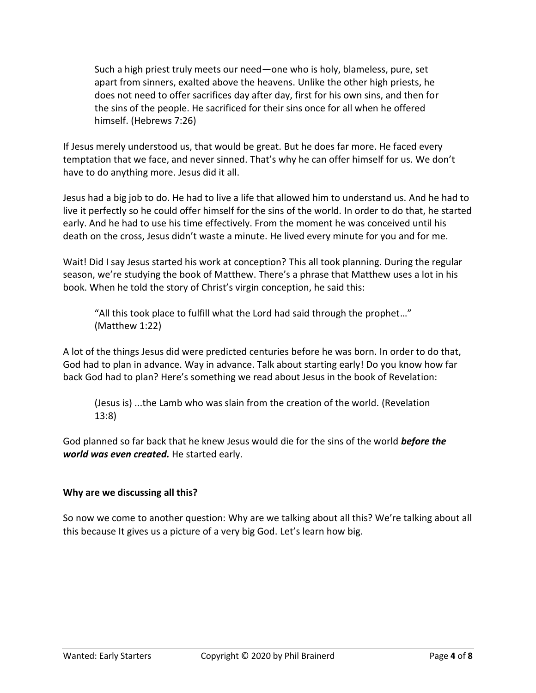Such a high priest truly meets our need—one who is holy, blameless, pure, set apart from sinners, exalted above the heavens. Unlike the other high priests, he does not need to offer sacrifices day after day, first for his own sins, and then for the sins of the people. He sacrificed for their sins once for all when he offered himself. (Hebrews 7:26)

If Jesus merely understood us, that would be great. But he does far more. He faced every temptation that we face, and never sinned. That's why he can offer himself for us. We don't have to do anything more. Jesus did it all.

Jesus had a big job to do. He had to live a life that allowed him to understand us. And he had to live it perfectly so he could offer himself for the sins of the world. In order to do that, he started early. And he had to use his time effectively. From the moment he was conceived until his death on the cross, Jesus didn't waste a minute. He lived every minute for you and for me.

Wait! Did I say Jesus started his work at conception? This all took planning. During the regular season, we're studying the book of Matthew. There's a phrase that Matthew uses a lot in his book. When he told the story of Christ's virgin conception, he said this:

"All this took place to fulfill what the Lord had said through the prophet…" (Matthew 1:22)

A lot of the things Jesus did were predicted centuries before he was born. In order to do that, God had to plan in advance. Way in advance. Talk about starting early! Do you know how far back God had to plan? Here's something we read about Jesus in the book of Revelation:

(Jesus is) ...the Lamb who was slain from the creation of the world. (Revelation 13:8)

God planned so far back that he knew Jesus would die for the sins of the world *before the world was even created.* He started early.

# **Why are we discussing all this?**

So now we come to another question: Why are we talking about all this? We're talking about all this because It gives us a picture of a very big God. Let's learn how big.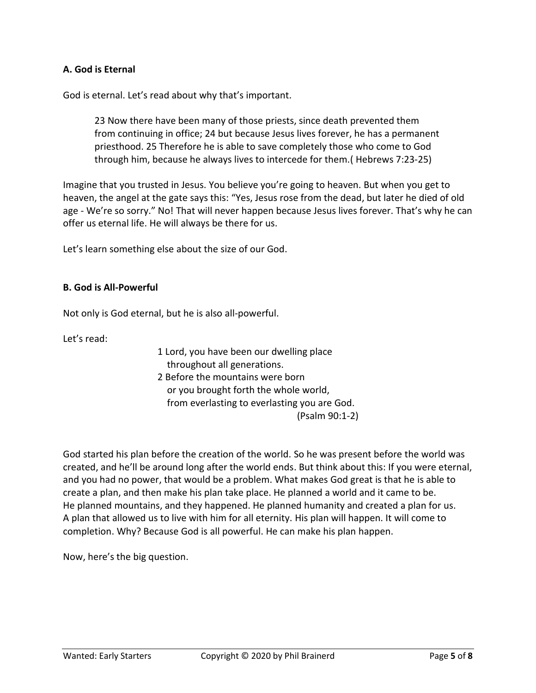# **A. God is Eternal**

God is eternal. Let's read about why that's important.

23 Now there have been many of those priests, since death prevented them from continuing in office; 24 but because Jesus lives forever, he has a permanent priesthood. 25 Therefore he is able to save completely those who come to God through him, because he always lives to intercede for them.( Hebrews 7:23-25)

Imagine that you trusted in Jesus. You believe you're going to heaven. But when you get to heaven, the angel at the gate says this: "Yes, Jesus rose from the dead, but later he died of old age - We're so sorry." No! That will never happen because Jesus lives forever. That's why he can offer us eternal life. He will always be there for us.

Let's learn something else about the size of our God.

#### **B. God is All-Powerful**

Not only is God eternal, but he is also all-powerful.

Let's read:

1 Lord, you have been our dwelling place throughout all generations.

2 Before the mountains were born or you brought forth the whole world, from everlasting to everlasting you are God. (Psalm 90:1-2)

God started his plan before the creation of the world. So he was present before the world was created, and he'll be around long after the world ends. But think about this: If you were eternal, and you had no power, that would be a problem. What makes God great is that he is able to create a plan, and then make his plan take place. He planned a world and it came to be. He planned mountains, and they happened. He planned humanity and created a plan for us. A plan that allowed us to live with him for all eternity. His plan will happen. It will come to completion. Why? Because God is all powerful. He can make his plan happen.

Now, here's the big question.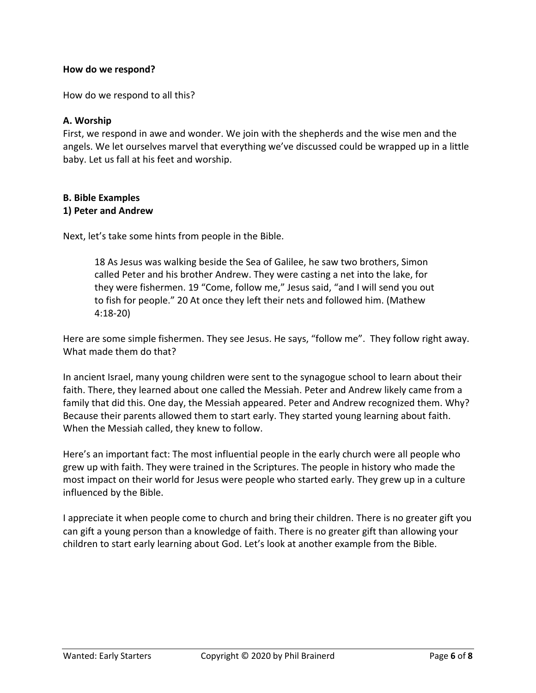### **How do we respond?**

How do we respond to all this?

### **A. Worship**

First, we respond in awe and wonder. We join with the shepherds and the wise men and the angels. We let ourselves marvel that everything we've discussed could be wrapped up in a little baby. Let us fall at his feet and worship.

#### **B. Bible Examples 1) Peter and Andrew**

Next, let's take some hints from people in the Bible.

18 As Jesus was walking beside the Sea of Galilee, he saw two brothers, Simon called Peter and his brother Andrew. They were casting a net into the lake, for they were fishermen. 19 "Come, follow me," Jesus said, "and I will send you out to fish for people." 20 At once they left their nets and followed him. (Mathew 4:18-20)

Here are some simple fishermen. They see Jesus. He says, "follow me". They follow right away. What made them do that?

In ancient Israel, many young children were sent to the synagogue school to learn about their faith. There, they learned about one called the Messiah. Peter and Andrew likely came from a family that did this. One day, the Messiah appeared. Peter and Andrew recognized them. Why? Because their parents allowed them to start early. They started young learning about faith. When the Messiah called, they knew to follow.

Here's an important fact: The most influential people in the early church were all people who grew up with faith. They were trained in the Scriptures. The people in history who made the most impact on their world for Jesus were people who started early. They grew up in a culture influenced by the Bible.

I appreciate it when people come to church and bring their children. There is no greater gift you can gift a young person than a knowledge of faith. There is no greater gift than allowing your children to start early learning about God. Let's look at another example from the Bible.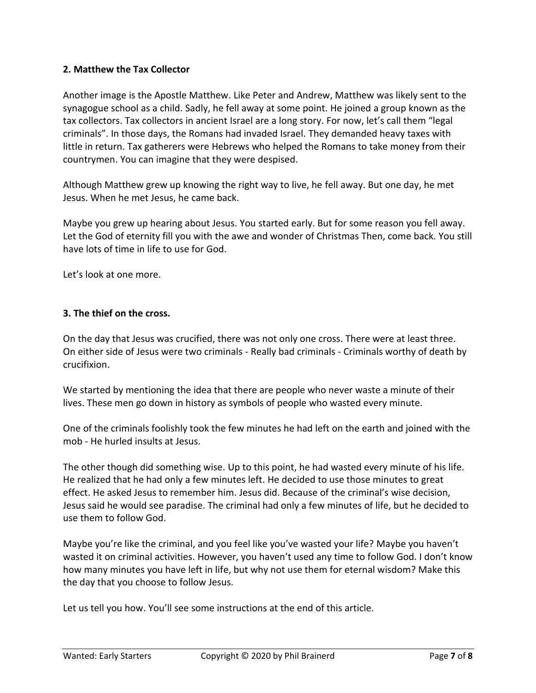# **2. Matthew the Tax Collector**

Another image is the Apostle Matthew. Like Peter and Andrew, Matthew was likely sent to the synagogue school as a child. Sadly, he fell away at some point. He joined a group known as the tax collectors. Tax collectors in ancient Israel are a long story. For now, let's call them "legal criminals". In those days, the Romans had invaded Israel. They demanded heavy taxes with little in return. Tax gatherers were Hebrews who helped the Romans to take money from their countrymen. You can imagine that they were despised.

Although Matthew grew up knowing the right way to live, he fell away. But one day, he met Jesus. When he met Jesus, he came back.

Maybe you grew up hearing about Jesus. You started early. But for some reason you fell away. Let the God of eternity fill you with the awe and wonder of Christmas Then, come back. You still have lots of time in life to use for God.

Let's look at one more.

# **3. The thief on the cross.**

On the day that Jesus was crucified, there was not only one cross. There were at least three. On either side of Jesus were two criminals - Really bad criminals - Criminals worthy of death by crucifixion.

We started by mentioning the idea that there are people who never waste a minute of their lives. These men go down in history as symbols of people who wasted every minute.

One of the criminals foolishly took the few minutes he had left on the earth and joined with the mob - He hurled insults at Jesus.

The other though did something wise. Up to this point, he had wasted every minute of his life. He realized that he had only a few minutes left. He decided to use those minutes to great effect. He asked Jesus to remember him. Jesus did. Because of the criminal's wise decision, Jesus said he would see paradise. The criminal had only a few minutes of life, but he decided to use them to follow God.

Maybe you're like the criminal, and you feel like you've wasted your life? Maybe you haven't wasted it on criminal activities. However, you haven't used any time to follow God. I don't know how many minutes you have left in life, but why not use them for eternal wisdom? Make this the day that you choose to follow Jesus.

Let us tell you how. You'll see some instructions at the end of this article.